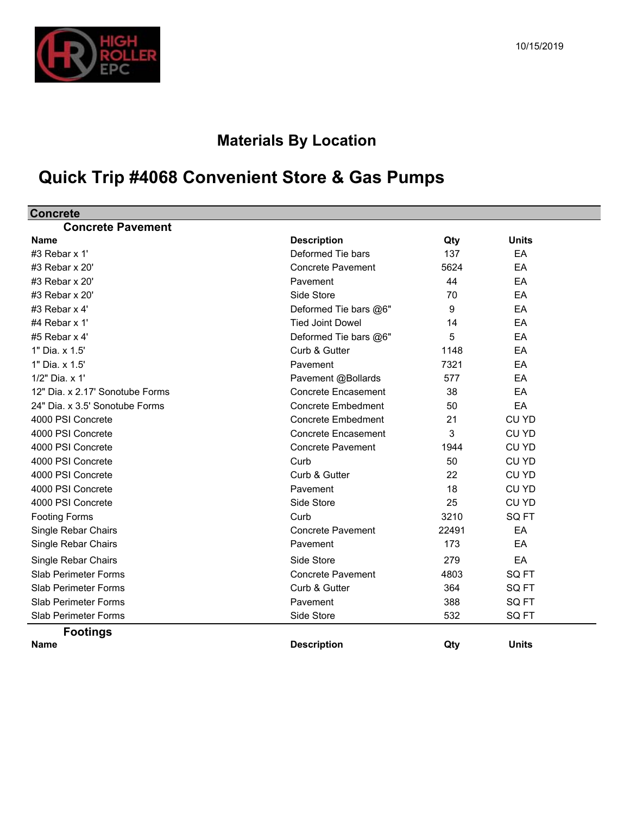

## **Materials By Location**

## **Quick Trip #4068 Convenient Store & Gas Pumps**

| <b>Concrete</b>                 |                            |       |                  |  |
|---------------------------------|----------------------------|-------|------------------|--|
| <b>Concrete Pavement</b>        |                            |       |                  |  |
| <b>Name</b>                     | <b>Description</b>         | Qty   | <b>Units</b>     |  |
| #3 Rebar x 1'                   | Deformed Tie bars          | 137   | EA               |  |
| #3 Rebar x 20'                  | <b>Concrete Pavement</b>   | 5624  | EA               |  |
| #3 Rebar x 20'                  | Pavement                   | 44    | EA               |  |
| #3 Rebar x 20'                  | Side Store                 | 70    | EA               |  |
| #3 Rebar x 4'                   | Deformed Tie bars @6"      | 9     | EA               |  |
| #4 Rebar x 1'                   | <b>Tied Joint Dowel</b>    | 14    | EA               |  |
| #5 Rebar $x$ 4'                 | Deformed Tie bars @6"      | 5     | EA               |  |
| 1" Dia. x 1.5'                  | Curb & Gutter              | 1148  | EA               |  |
| 1" Dia. x 1.5'                  | Pavement                   | 7321  | EA               |  |
| 1/2" Dia. x 1'                  | Pavement @Bollards         | 577   | EA               |  |
| 12" Dia. x 2.17' Sonotube Forms | <b>Concrete Encasement</b> | 38    | EA               |  |
| 24" Dia. x 3.5' Sonotube Forms  | <b>Concrete Embedment</b>  | 50    | EA               |  |
| 4000 PSI Concrete               | <b>Concrete Embedment</b>  | 21    | CU YD            |  |
| 4000 PSI Concrete               | <b>Concrete Encasement</b> | 3     | CU YD            |  |
| 4000 PSI Concrete               | <b>Concrete Pavement</b>   | 1944  | <b>CU YD</b>     |  |
| 4000 PSI Concrete               | Curb                       | 50    | CU YD            |  |
| 4000 PSI Concrete               | Curb & Gutter              | 22    | <b>CU YD</b>     |  |
| 4000 PSI Concrete               | Pavement                   | 18    | CU YD            |  |
| 4000 PSI Concrete               | Side Store                 | 25    | <b>CU YD</b>     |  |
| <b>Footing Forms</b>            | Curb                       | 3210  | SQ <sub>FT</sub> |  |
| Single Rebar Chairs             | <b>Concrete Pavement</b>   | 22491 | EA               |  |
| Single Rebar Chairs             | Pavement                   | 173   | EA               |  |
| Single Rebar Chairs             | Side Store                 | 279   | EA               |  |
| <b>Slab Perimeter Forms</b>     | <b>Concrete Pavement</b>   | 4803  | SQ FT            |  |
| <b>Slab Perimeter Forms</b>     | Curb & Gutter              | 364   | SQ <sub>FT</sub> |  |
| <b>Slab Perimeter Forms</b>     | Pavement                   | 388   | SQ FT            |  |
| <b>Slab Perimeter Forms</b>     | Side Store                 | 532   | SQ FT            |  |
| <b>Footings</b>                 |                            |       |                  |  |
| <b>Name</b>                     | <b>Description</b>         | Qty   | <b>Units</b>     |  |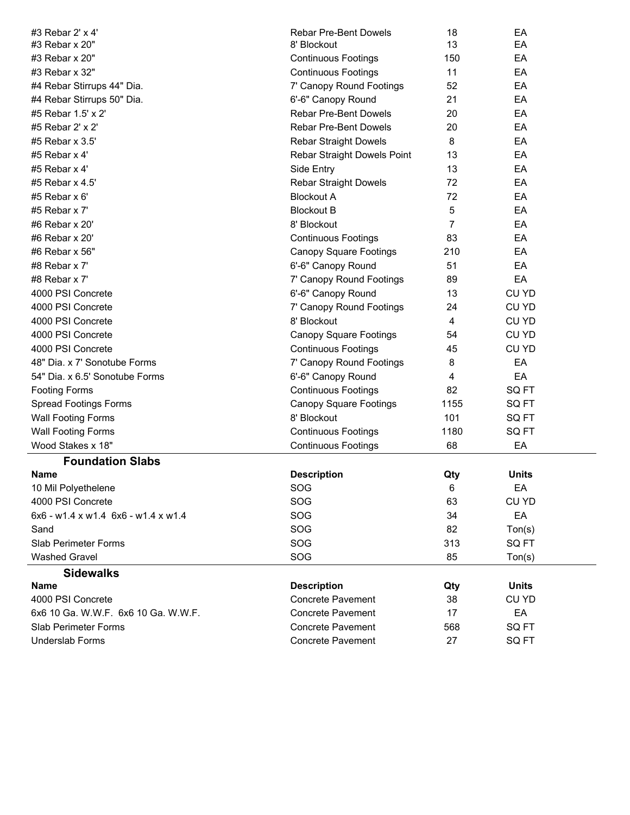| #3 Rebar 2' x 4'                    | <b>Rebar Pre-Bent Dowels</b>  | 18             | EA                 |  |
|-------------------------------------|-------------------------------|----------------|--------------------|--|
| #3 Rebar x 20"                      | 8' Blockout                   | 13             | EA                 |  |
| #3 Rebar x 20"                      | <b>Continuous Footings</b>    | 150            | EA                 |  |
| #3 Rebar x 32"                      | <b>Continuous Footings</b>    | 11             | EA                 |  |
| #4 Rebar Stirrups 44" Dia.          | 7' Canopy Round Footings      | 52             | EA                 |  |
| #4 Rebar Stirrups 50" Dia.          | 6'-6" Canopy Round            | 21             | EA                 |  |
| #5 Rebar 1.5' x 2'                  | <b>Rebar Pre-Bent Dowels</b>  | 20             | EA                 |  |
| #5 Rebar 2' x 2'                    | <b>Rebar Pre-Bent Dowels</b>  | 20             | EA                 |  |
| #5 Rebar x 3.5'                     | <b>Rebar Straight Dowels</b>  | 8              | EA                 |  |
| #5 Rebar $x$ 4'                     | Rebar Straight Dowels Point   | 13             | EA                 |  |
| #5 Rebar $x$ 4'                     | Side Entry                    | 13             | EA                 |  |
| #5 Rebar x 4.5'                     | Rebar Straight Dowels         | 72             | EA                 |  |
| #5 Rebar x 6'                       | <b>Blockout A</b>             | 72             | EA                 |  |
| #5 Rebar x $7'$                     | <b>Blockout B</b>             | 5              | EA                 |  |
| #6 Rebar x 20'                      | 8' Blockout                   | 7              | EA                 |  |
| #6 Rebar x 20'                      | <b>Continuous Footings</b>    | 83             | EA                 |  |
| #6 Rebar x 56"                      | <b>Canopy Square Footings</b> | 210            | EA                 |  |
| #8 Rebar x 7'                       | 6'-6" Canopy Round            | 51             | EA                 |  |
| #8 Rebar x 7'                       | 7' Canopy Round Footings      | 89             | EA                 |  |
| 4000 PSI Concrete                   | 6'-6" Canopy Round            | 13             | CU YD              |  |
| 4000 PSI Concrete                   | 7' Canopy Round Footings      | 24             | CU YD              |  |
| 4000 PSI Concrete                   | 8' Blockout                   | $\overline{4}$ | CU YD              |  |
| 4000 PSI Concrete                   | <b>Canopy Square Footings</b> | 54             | CU YD              |  |
| 4000 PSI Concrete                   | <b>Continuous Footings</b>    | 45             | <b>CU YD</b>       |  |
| 48" Dia. x 7' Sonotube Forms        | 7' Canopy Round Footings      | 8              | EA                 |  |
| 54" Dia. x 6.5' Sonotube Forms      | 6'-6" Canopy Round            | 4              | EA                 |  |
| <b>Footing Forms</b>                | <b>Continuous Footings</b>    | 82             | SQ FT              |  |
| <b>Spread Footings Forms</b>        | <b>Canopy Square Footings</b> | 1155           | SQ FT              |  |
| <b>Wall Footing Forms</b>           | 8' Blockout                   | 101            | SQ FT              |  |
| <b>Wall Footing Forms</b>           | <b>Continuous Footings</b>    | 1180           | SQ FT              |  |
| Wood Stakes x 18"                   | <b>Continuous Footings</b>    | 68             | EA                 |  |
| <b>Foundation Slabs</b>             |                               |                |                    |  |
| <b>Name</b>                         | <b>Description</b>            | Qty            | <b>Units</b>       |  |
| 10 Mil Polyethelene                 | SOG                           | 6              | EA                 |  |
| 4000 PSI Concrete                   | SOG                           | 63             | CU YD              |  |
| 6x6 - w1.4 x w1.4 6x6 - w1.4 x w1.4 | SOG                           | 34             | EA                 |  |
| Sand                                | SOG                           | 82             | T <sub>on(s)</sub> |  |
| <b>Slab Perimeter Forms</b>         | SOG                           | 313            | SQ FT              |  |
| <b>Washed Gravel</b>                | SOG                           | 85             | Ton(s)             |  |
| <b>Sidewalks</b>                    |                               |                |                    |  |
| Name                                | <b>Description</b>            | Qty            | <b>Units</b>       |  |
| 4000 PSI Concrete                   | <b>Concrete Pavement</b>      | 38             | CU YD              |  |
| 6x6 10 Ga. W.W.F. 6x6 10 Ga. W.W.F. | <b>Concrete Pavement</b>      | 17             | EA                 |  |
| <b>Slab Perimeter Forms</b>         | <b>Concrete Pavement</b>      | 568            | SQ FT              |  |
| <b>Underslab Forms</b>              | <b>Concrete Pavement</b>      | 27             | SQ FT              |  |